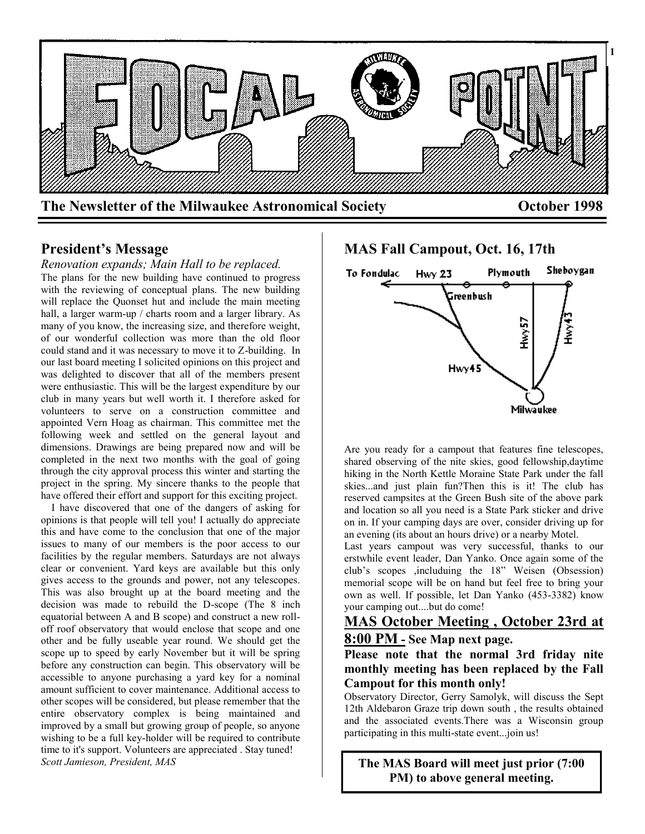

## **President's Message**

*Renovation expands; Main Hall to be replaced.* The plans for the new building have continued to progress with the reviewing of conceptual plans. The new building will replace the Quonset hut and include the main meeting hall, a larger warm-up / charts room and a larger library. As many of you know, the increasing size, and therefore weight, of our wonderful collection was more than the old floor could stand and it was necessary to move it to Z-building. In our last board meeting I solicited opinions on this project and was delighted to discover that all of the members present were enthusiastic. This will be the largest expenditure by our club in many years but well worth it. I therefore asked for volunteers to serve on a construction committee and appointed Vern Hoag as chairman. This committee met the following week and settled on the general layout and dimensions. Drawings are being prepared now and will be completed in the next two months with the goal of going through the city approval process this winter and starting the project in the spring. My sincere thanks to the people that have offered their effort and support for this exciting project.

 I have discovered that one of the dangers of asking for opinions is that people will tell you! I actually do appreciate this and have come to the conclusion that one of the major issues to many of our members is the poor access to our facilities by the regular members. Saturdays are not always clear or convenient. Yard keys are available but this only gives access to the grounds and power, not any telescopes. This was also brought up at the board meeting and the decision was made to rebuild the D-scope (The 8 inch equatorial between A and B scope) and construct a new rolloff roof observatory that would enclose that scope and one other and be fully useable year round. We should get the scope up to speed by early November but it will be spring before any construction can begin. This observatory will be accessible to anyone purchasing a yard key for a nominal amount sufficient to cover maintenance. Additional access to other scopes will be considered, but please remember that the entire observatory complex is being maintained and improved by a small but growing group of people, so anyone wishing to be a full key-holder will be required to contribute time to it's support. Volunteers are appreciated . Stay tuned! *Scott Jamieson, President, MAS*

# **MAS Fall Campout, Oct. 16, 17th**



Are you ready for a campout that features fine telescopes, shared observing of the nite skies, good fellowship,daytime hiking in the North Kettle Moraine State Park under the fall skies...and just plain fun?Then this is it! The club has reserved campsites at the Green Bush site of the above park and location so all you need is a State Park sticker and drive on in. If your camping days are over, consider driving up for an evening (its about an hours drive) or a nearby Motel.

Last years campout was very successful, thanks to our erstwhile event leader, Dan Yanko. Once again some of the club's scopes ,includuing the 18" Weisen (Obsession) memorial scope will be on hand but feel free to bring your own as well. If possible, let Dan Yanko (453-3382) know your camping out....but do come!

# **MAS October Meeting , October 23rd at**

# **8:00 PM - See Map next page.**

**Please note that the normal 3rd friday nite monthly meeting has been replaced by the Fall Campout for this month only!**

Observatory Director, Gerry Samolyk, will discuss the Sept 12th Aldebaron Graze trip down south , the results obtained and the associated events.There was a Wisconsin group participating in this multi-state event...join us!

**The MAS Board will meet just prior (7:00 PM) to above general meeting.**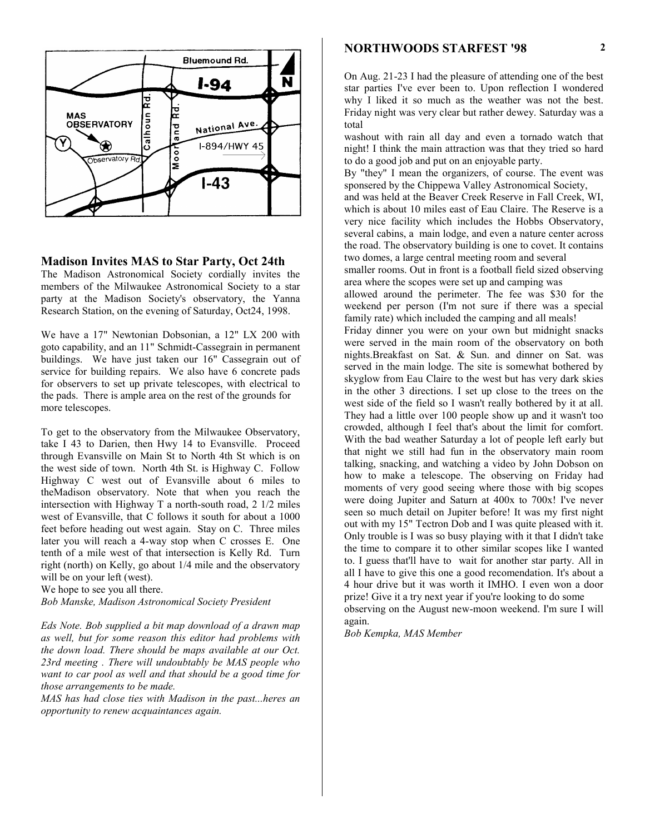

#### **Madison Invites MAS to Star Party, Oct 24th**

The Madison Astronomical Society cordially invites the members of the Milwaukee Astronomical Society to a star party at the Madison Society's observatory, the Yanna Research Station, on the evening of Saturday, Oct24, 1998.

We have a 17" Newtonian Dobsonian, a 12" LX 200 with goto capability, and an 11" Schmidt-Cassegrain in permanent buildings. We have just taken our 16" Cassegrain out of service for building repairs. We also have 6 concrete pads for observers to set up private telescopes, with electrical to the pads. There is ample area on the rest of the grounds for more telescopes.

To get to the observatory from the Milwaukee Observatory, take I 43 to Darien, then Hwy 14 to Evansville. Proceed through Evansville on Main St to North 4th St which is on the west side of town. North 4th St. is Highway C. Follow Highway C west out of Evansville about 6 miles to theMadison observatory. Note that when you reach the intersection with Highway T a north-south road, 2 1/2 miles west of Evansville, that C follows it south for about a 1000 feet before heading out west again. Stay on C. Three miles later you will reach a 4-way stop when C crosses E. One tenth of a mile west of that intersection is Kelly Rd. Turn right (north) on Kelly, go about 1/4 mile and the observatory will be on your left (west).

We hope to see you all there.

*Bob Manske, Madison Astronomical Society President*

*Eds Note. Bob supplied a bit map download of a drawn map as well, but for some reason this editor had problems with the down load. There should be maps available at our Oct. 23rd meeting . There will undoubtably be MAS people who want to car pool as well and that should be a good time for those arrangements to be made.*

*MAS has had close ties with Madison in the past...heres an opportunity to renew acquaintances again.*

### **NORTHWOODS STARFEST '98**

On Aug. 21-23 I had the pleasure of attending one of the best star parties I've ever been to. Upon reflection I wondered why I liked it so much as the weather was not the best. Friday night was very clear but rather dewey. Saturday was a total

washout with rain all day and even a tornado watch that night! I think the main attraction was that they tried so hard to do a good job and put on an enjoyable party.

By "they" I mean the organizers, of course. The event was sponsered by the Chippewa Valley Astronomical Society,

and was held at the Beaver Creek Reserve in Fall Creek, WI, which is about 10 miles east of Eau Claire. The Reserve is a very nice facility which includes the Hobbs Observatory, several cabins, a main lodge, and even a nature center across the road. The observatory building is one to covet. It contains two domes, a large central meeting room and several

smaller rooms. Out in front is a football field sized observing area where the scopes were set up and camping was

allowed around the perimeter. The fee was \$30 for the weekend per person (I'm not sure if there was a special family rate) which included the camping and all meals!

Friday dinner you were on your own but midnight snacks were served in the main room of the observatory on both nights.Breakfast on Sat. & Sun. and dinner on Sat. was served in the main lodge. The site is somewhat bothered by skyglow from Eau Claire to the west but has very dark skies in the other 3 directions. I set up close to the trees on the west side of the field so I wasn't really bothered by it at all. They had a little over 100 people show up and it wasn't too crowded, although I feel that's about the limit for comfort. With the bad weather Saturday a lot of people left early but that night we still had fun in the observatory main room talking, snacking, and watching a video by John Dobson on how to make a telescope. The observing on Friday had moments of very good seeing where those with big scopes were doing Jupiter and Saturn at 400x to 700x! I've never seen so much detail on Jupiter before! It was my first night out with my 15" Tectron Dob and I was quite pleased with it. Only trouble is I was so busy playing with it that I didn't take the time to compare it to other similar scopes like I wanted to. I guess that'll have to wait for another star party. All in all I have to give this one a good recomendation. It's about a 4 hour drive but it was worth it IMHO. I even won a door prize! Give it a try next year if you're looking to do some observing on the August new-moon weekend. I'm sure I will again.

*Bob Kempka, MAS Member*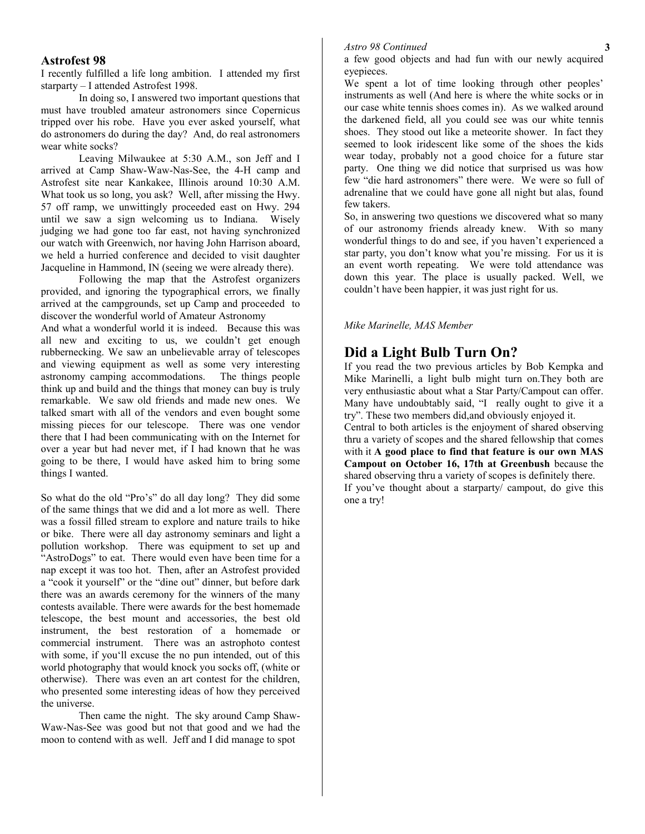#### **Astrofest 98**

I recently fulfilled a life long ambition. I attended my first starparty – I attended Astrofest 1998.

In doing so, I answered two important questions that must have troubled amateur astronomers since Copernicus tripped over his robe. Have you ever asked yourself, what do astronomers do during the day? And, do real astronomers wear white socks?

Leaving Milwaukee at 5:30 A.M., son Jeff and I arrived at Camp Shaw-Waw-Nas-See, the 4-H camp and Astrofest site near Kankakee, Illinois around 10:30 A.M. What took us so long, you ask? Well, after missing the Hwy. 57 off ramp, we unwittingly proceeded east on Hwy. 294 until we saw a sign welcoming us to Indiana. Wisely judging we had gone too far east, not having synchronized our watch with Greenwich, nor having John Harrison aboard, we held a hurried conference and decided to visit daughter Jacqueline in Hammond, IN (seeing we were already there).

Following the map that the Astrofest organizers provided, and ignoring the typographical errors, we finally arrived at the campgrounds, set up Camp and proceeded to discover the wonderful world of Amateur Astronomy

And what a wonderful world it is indeed. Because this was all new and exciting to us, we couldn't get enough rubbernecking. We saw an unbelievable array of telescopes and viewing equipment as well as some very interesting astronomy camping accommodations. The things people think up and build and the things that money can buy is truly remarkable. We saw old friends and made new ones. We talked smart with all of the vendors and even bought some missing pieces for our telescope. There was one vendor there that I had been communicating with on the Internet for over a year but had never met, if I had known that he was going to be there, I would have asked him to bring some things I wanted.

So what do the old "Pro's" do all day long? They did some of the same things that we did and a lot more as well. There was a fossil filled stream to explore and nature trails to hike or bike. There were all day astronomy seminars and light a pollution workshop. There was equipment to set up and "AstroDogs" to eat. There would even have been time for a nap except it was too hot. Then, after an Astrofest provided a "cook it yourself" or the "dine out" dinner, but before dark there was an awards ceremony for the winners of the many contests available. There were awards for the best homemade telescope, the best mount and accessories, the best old instrument, the best restoration of a homemade or commercial instrument. There was an astrophoto contest with some, if you'll excuse the no pun intended, out of this world photography that would knock you socks off, (white or otherwise). There was even an art contest for the children, who presented some interesting ideas of how they perceived the universe.

Then came the night. The sky around Camp Shaw-Waw-Nas-See was good but not that good and we had the moon to contend with as well. Jeff and I did manage to spot

#### *Astro 98 Continued*

a few good objects and had fun with our newly acquired eyepieces.

We spent a lot of time looking through other peoples' instruments as well (And here is where the white socks or in our case white tennis shoes comes in). As we walked around the darkened field, all you could see was our white tennis shoes. They stood out like a meteorite shower. In fact they seemed to look iridescent like some of the shoes the kids wear today, probably not a good choice for a future star party. One thing we did notice that surprised us was how few "die hard astronomers" there were. We were so full of adrenaline that we could have gone all night but alas, found few takers.

So, in answering two questions we discovered what so many of our astronomy friends already knew. With so many wonderful things to do and see, if you haven't experienced a star party, you don't know what you're missing. For us it is an event worth repeating. We were told attendance was down this year. The place is usually packed. Well, we couldn't have been happier, it was just right for us.

#### *Mike Marinelle, MAS Member*

## **Did a Light Bulb Turn On?**

If you read the two previous articles by Bob Kempka and Mike Marinelli, a light bulb might turn on.They both are very enthusiastic about what a Star Party/Campout can offer. Many have undoubtably said, "I really ought to give it a try". These two members did,and obviously enjoyed it.

Central to both articles is the enjoyment of shared observing thru a variety of scopes and the shared fellowship that comes with it **A good place to find that feature is our own MAS Campout on October 16, 17th at Greenbush** because the shared observing thru a variety of scopes is definitely there. If you've thought about a starparty/ campout, do give this one a try!